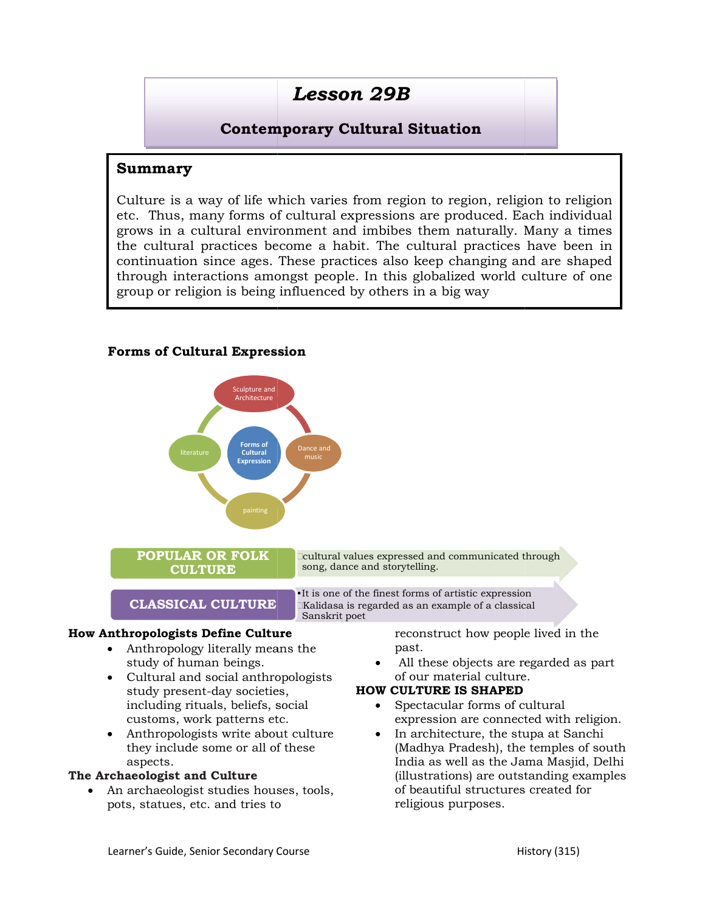# Lesson 29B

## Contemporary Contemporary Cultural Situation

### Summary

Culture is a way of life which varies from region to region, religion to religion  $|$ Culture is a way of life which varies from region to region, religion to religion<br>etc. Thus, many forms of cultural expressions are produced. Each individual grows in a cultural environment and imbibes them naturally. Many a times  $\vert$ grows in a cultural environment and imbibes them naturally. Many a times the cultural practices become a habit. The cultural practices in continuation since ages. These practices also keep changing and are shaped  $\vert$ through interactions amongst people. In this globalized world culture of one  $\vert$ group or religion is being influenced by others in a big way

#### Forms of Cultural Expression



- Anthropology literally means the study of human beings.
- Cultural and social anthropologists study present-day societies, including rituals, beliefs, social customs, work patterns etc. Anthropology literally means<br>study of human beings.<br>Cultural and social anthropo<br>study present-day societies,<br>including rituals, beliefs, soc
- Anthropologists write about culture In archited they include some or all of these aspects.

#### The Archaeologist and Culture

• An archaeologist studies houses, tools, pots, statues, etc. and tries to

past.

 All these objects are regarded as part of our material culture.

#### HOW CULTURE IS SHAPED

- expression are connected Spectacular forms of cultural
- **Example 10** archaeologist studies houses, tools, and the set of the reconstruct how people lived in the study of human beings.<br> **archaeologists** study present-day societies, **HOW CULTURE IS SHAPED**<br>
including rituals, be In architecture, the stupa at Sanchi (Madhya Pradesh), the temples of south India as well as the Jama Masjid, Delhi (illustrations) are outstanding examples of beautiful structures created for religious purposes.